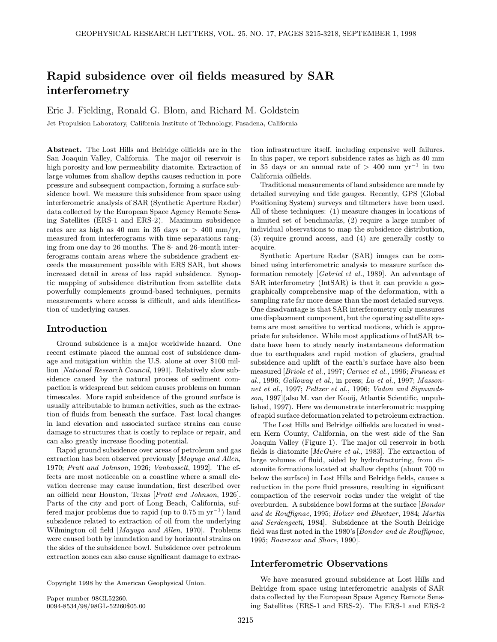# Rapid subsidence over oil fields measured by SAR interferometry

Eric J. Fielding, Ronald G. Blom, and Richard M. Goldstein

Jet Propulsion Laboratory, California Institute of Technology, Pasadena, California

Abstract. The Lost Hills and Belridge oilfields are in the San Joaquin Valley, California. The major oil reservoir is high porosity and low permeability diatomite. Extraction of large volumes from shallow depths causes reduction in pore pressure and subsequent compaction, forming a surface subsidence bowl. We measure this subsidence from space using interferometric analysis of SAR (Synthetic Aperture Radar) data collected by the European Space Agency Remote Sensing Satellites (ERS-1 and ERS-2). Maximum subsidence rates are as high as 40 mm in 35 days or  $> 400$  mm/yr, measured from interferograms with time separations ranging from one day to 26 months. The 8- and 26-month interferograms contain areas where the subsidence gradient exceeds the measurement possible with ERS SAR, but shows increased detail in areas of less rapid subsidence. Synoptic mapping of subsidence distribution from satellite data powerfully complements ground-based techniques, permits measurements where access is difficult, and aids identification of underlying causes.

## Introduction

Ground subsidence is a major worldwide hazard. One recent estimate placed the annual cost of subsidence damage and mitigation within the U.S. alone at over \$100 million [National Research Council, 1991]. Relatively slow subsidence caused by the natural process of sediment compaction is widespread but seldom causes problems on human timescales. More rapid subsidence of the ground surface is usually attributable to human activities, such as the extraction of fluids from beneath the surface. Fast local changes in land elevation and associated surface strains can cause damage to structures that is costly to replace or repair, and can also greatly increase flooding potential.

Rapid ground subsidence over areas of petroleum and gas extraction has been observed previously [Mayuga and Allen, 1970; Pratt and Johnson, 1926; Vanhasselt, 1992]. The effects are most noticeable on a coastline where a small elevation decrease may cause inundation, first described over an oilfield near Houston, Texas [Pratt and Johnson, 1926]. Parts of the city and port of Long Beach, California, suffered major problems due to rapid (up to  $0.75 \text{ m yr}^{-1}$ ) land subsidence related to extraction of oil from the underlying Wilmington oil field [Mayuga and Allen, 1970]. Problems were caused both by inundation and by horizontal strains on the sides of the subsidence bowl. Subsidence over petroleum extraction zones can also cause significant damage to extrac-

Copyright 1998 by the American Geophysical Union.

Paper number 98GL52260. 0094-8534/98/98GL-52260\$05.00 tion infrastructure itself, including expensive well failures. In this paper, we report subsidence rates as high as 40 mm in 35 days or an annual rate of > 400 mm  $yr^{-1}$  in two California oilfields.

Traditional measurements of land subsidence are made by detailed surveying and tide gauges. Recently, GPS (Global Positioning System) surveys and tiltmeters have been used. All of these techniques: (1) measure changes in locations of a limited set of benchmarks, (2) require a large number of individual observations to map the subsidence distribution, (3) require ground access, and (4) are generally costly to acquire.

Synthetic Aperture Radar (SAR) images can be combined using interferometric analysis to measure surface deformation remotely [Gabriel et al., 1989]. An advantage of SAR interferometry (IntSAR) is that it can provide a geographically comprehensive map of the deformation, with a sampling rate far more dense than the most detailed surveys. One disadvantage is that SAR interferometry only measures one displacement component, but the operating satellite systems are most sensitive to vertical motions, which is appropriate for subsidence. While most applications of IntSAR todate have been to study nearly instantaneous deformation due to earthquakes and rapid motion of glaciers, gradual subsidence and uplift of the earth's surface have also been measured [Briole et al., 1997; Carnec et al., 1996; Fruneau et al., 1996; Galloway et al., in press; Lu et al., 1997; Massonnet et al., 1997; Peltzer et al., 1996; Vadon and Sigmundsson, 1997](also M. van der Kooij, Atlantis Scientific, unpublished, 1997). Here we demonstrate interferometric mapping of rapid surface deformation related to petroleum extraction.

The Lost Hills and Belridge oilfields are located in western Kern County, California, on the west side of the San Joaquin Valley (Figure 1). The major oil reservoir in both fields is diatomite [McGuire et al., 1983]. The extraction of large volumes of fluid, aided by hydrofracturing, from diatomite formations located at shallow depths (about 700 m below the surface) in Lost Hills and Belridge fields, causes a reduction in the pore fluid pressure, resulting in significant compaction of the reservoir rocks under the weight of the overburden. A subsidence bowl forms at the surface [Bondor and de Rouffignac, 1995; Holzer and Bluntzer, 1984; Martin and Serdengecti, 1984]. Subsidence at the South Belridge field was first noted in the 1980's [Bondor and de Rouffignac, 1995; Bowersox and Shore, 1990].

### Interferometric Observations

We have measured ground subsidence at Lost Hills and Belridge from space using interferometric analysis of SAR data collected by the European Space Agency Remote Sensing Satellites (ERS-1 and ERS-2). The ERS-1 and ERS-2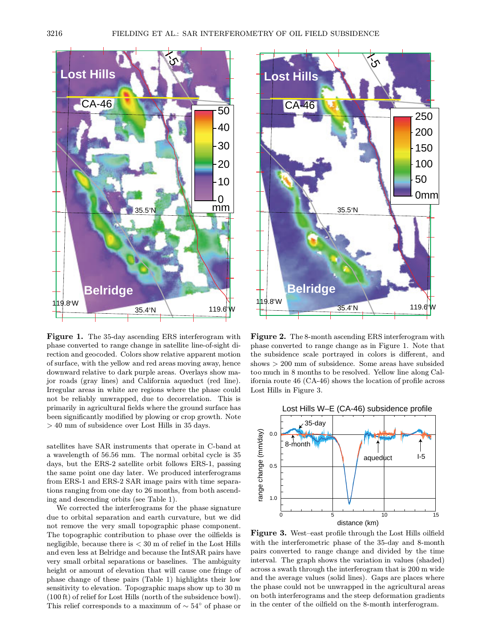

Figure 1. The 35-day ascending ERS interferogram with phase converted to range change in satellite line-of-sight direction and geocoded. Colors show relative apparent motion of surface, with the yellow and red areas moving away, hence downward relative to dark purple areas. Overlays show major roads (gray lines) and California aqueduct (red line). Irregular areas in white are regions where the phase could not be reliably unwrapped, due to decorrelation. This is primarily in agricultural fields where the ground surface has been significantly modified by plowing or crop growth. Note > 40 mm of subsidence over Lost Hills in 35 days.

satellites have SAR instruments that operate in C-band at a wavelength of 56.56 mm. The normal orbital cycle is 35 days, but the ERS-2 satellite orbit follows ERS-1, passing the same point one day later. We produced interferograms from ERS-1 and ERS-2 SAR image pairs with time separations ranging from one day to 26 months, from both ascending and descending orbits (see Table 1).

We corrected the interferograms for the phase signature due to orbital separation and earth curvature, but we did not remove the very small topographic phase component. The topographic contribution to phase over the oilfields is negligible, because there is  $<$  30 m of relief in the Lost Hills and even less at Belridge and because the IntSAR pairs have very small orbital separations or baselines. The ambiguity height or amount of elevation that will cause one fringe of phase change of these pairs (Table 1) highlights their low sensitivity to elevation. Topographic maps show up to 30 m (100 ft) of relief for Lost Hills (north of the subsidence bowl). This relief corresponds to a maximum of  $\sim 54^{\circ}$  of phase or



Figure 2. The 8-month ascending ERS interferogram with phase converted to range change as in Figure 1. Note that the subsidence scale portrayed in colors is different, and shows > 200 mm of subsidence. Some areas have subsided too much in 8 months to be resolved. Yellow line along California route 46 (CA-46) shows the location of profile across Lost Hills in Figure 3.



Figure 3. West–east profile through the Lost Hills oilfield with the interferometric phase of the 35-day and 8-month pairs converted to range change and divided by the time interval. The graph shows the variation in values (shaded) across a swath through the interferogram that is 200 m wide and the average values (solid lines). Gaps are places where the phase could not be unwrapped in the agricultural areas on both interferograms and the steep deformation gradients in the center of the oilfield on the 8-month interferogram.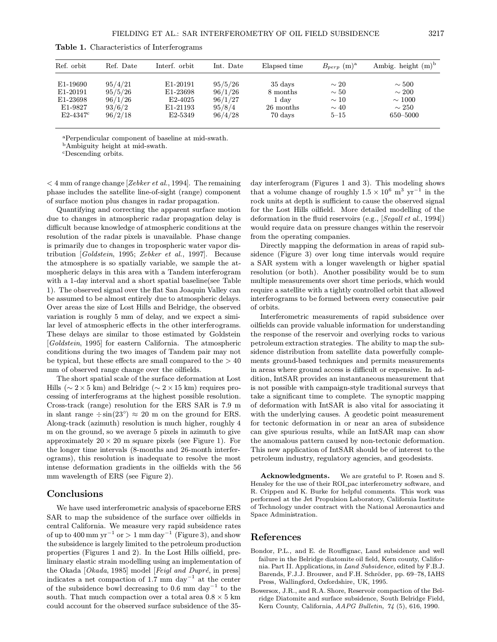| Ref. orbit    | Ref. Date | Interf. orbit        | Int. Date | Elapsed time | $B_{perp}$ (m) <sup>a</sup> | Ambig. height $(m)^b$ |
|---------------|-----------|----------------------|-----------|--------------|-----------------------------|-----------------------|
| E1-19690      | 95/4/21   | E1-20191             | 95/5/26   | 35 days      | $\sim 20$                   | $\sim 500$            |
| E1-20191      | 95/5/26   | E1-23698             | 96/1/26   | 8 months     | $\sim 50$                   | $\sim 200$            |
| E1-23698      | 96/1/26   | E <sub>2</sub> -4025 | 96/1/27   | 1 day        | $\sim$ 10                   | $\sim$ 1000           |
| E1-9827       | 93/6/2    | E1-21193             | 95/8/4    | 26 months    | $\sim 40$                   | $\sim 250$            |
| $E2 - 4347$ ° | 96/2/18   | E <sub>2</sub> -5349 | 96/4/28   | 70 days      | $5 - 15$                    | 650-5000              |

Table 1. Characteristics of Interferograms

<sup>a</sup>Perpendicular component of baseline at mid-swath.

<sup>b</sup>Ambiguity height at mid-swath.

<sup>c</sup>Descending orbits.

 $<$  4 mm of range change [Zebker et al., 1994]. The remaining phase includes the satellite line-of-sight (range) component of surface motion plus changes in radar propagation.

Quantifying and correcting the apparent surface motion due to changes in atmospheric radar propagation delay is difficult because knowledge of atmospheric conditions at the resolution of the radar pixels is unavailable. Phase change is primarily due to changes in tropospheric water vapor distribution [Goldstein, 1995; Zebker et al., 1997]. Because the atmosphere is so spatially variable, we sample the atmospheric delays in this area with a Tandem interferogram with a 1-day interval and a short spatial baseline(see Table 1). The observed signal over the flat San Joaquin Valley can be assumed to be almost entirely due to atmospheric delays. Over areas the size of Lost Hills and Belridge, the observed variation is roughly 5 mm of delay, and we expect a similar level of atmospheric effects in the other interferograms. These delays are similar to those estimated by Goldstein [Goldstein, 1995] for eastern California. The atmospheric conditions during the two images of Tandem pair may not be typical, but these effects are small compared to the  $> 40$ mm of observed range change over the oilfields.

The short spatial scale of the surface deformation at Lost Hills ( $\sim$  2 × 5 km) and Belridge ( $\sim$  2 × 15 km) requires processing of interferograms at the highest possible resolution. Cross-track (range) resolution for the ERS SAR is 7.9 m in slant range  $\div \sin(23^\circ) \approx 20$  m on the ground for ERS. Along-track (azimuth) resolution is much higher, roughly 4 m on the ground, so we average 5 pixels in azimuth to give approximately  $20 \times 20$  m square pixels (see Figure 1). For the longer time intervals (8-months and 26-month interferograms), this resolution is inadequate to resolve the most intense deformation gradients in the oilfields with the 56 mm wavelength of ERS (see Figure 2).

## Conclusions

We have used interferometric analysis of spaceborne ERS SAR to map the subsidence of the surface over oilfields in central California. We measure very rapid subsidence rates of up to 400 mm yr<sup>-1</sup> or > 1 mm day<sup>-1</sup> (Figure 3), and show the subsidence is largely limited to the petroleum production properties (Figures 1 and 2). In the Lost Hills oilfield, preliminary elastic strain modelling using an implementation of the Okada  $[Okada, 1985] \text{ model } [Feigl \text{ and } Dupr\acute{e}, \text{ in press}]$ indicates a net compaction of 1.7 mm day<sup>-1</sup> at the center of the subsidence bowl decreasing to 0.6 mm day<sup>-1</sup> to the south. That much compaction over a total area  $0.8 \times 5$  km could account for the observed surface subsidence of the 35day interferogram (Figures 1 and 3). This modeling shows that a volume change of roughly  $1.5 \times 10^6$  m<sup>3</sup> yr<sup>-1</sup> in the rock units at depth is sufficient to cause the observed signal for the Lost Hills oilfield. More detailed modelling of the deformation in the fluid reservoirs (e.g., [Segall et al., 1994]) would require data on pressure changes within the reservoir from the operating companies.

Directly mapping the deformation in areas of rapid subsidence (Figure 3) over long time intervals would require a SAR system with a longer wavelength or higher spatial resolution (or both). Another possibility would be to sum multiple measurements over short time periods, which would require a satellite with a tightly controlled orbit that allowed interferograms to be formed between every consecutive pair of orbits.

Interferometric measurements of rapid subsidence over oilfields can provide valuable information for understanding the response of the reservoir and overlying rocks to various petroleum extraction strategies. The ability to map the subsidence distribution from satellite data powerfully complements ground-based techniques and permits measurements in areas where ground access is difficult or expensive. In addition, IntSAR provides an instantaneous measurement that is not possible with campaign-style traditional surveys that take a significant time to complete. The synoptic mapping of deformation with IntSAR is also vital for associating it with the underlying causes. A geodetic point measurement for tectonic deformation in or near an area of subsidence can give spurious results, while an IntSAR map can show the anomalous pattern caused by non-tectonic deformation. This new application of IntSAR should be of interest to the petroleum industry, regulatory agencies, and geodesists.

Acknowledgments. We are grateful to P. Rosen and S. Hensley for the use of their ROI pac interferometry software, and R. Crippen and K. Burke for helpful comments. This work was performed at the Jet Propulsion Laboratory, California Institute of Technology under contract with the National Aeronautics and Space Administration.

#### References

- Bondor, P.L., and E. de Rouffignac, Land subsidence and well failure in the Belridge diatomite oil field, Kern county, California. Part II. Applications, in Land Subsidence, edited by F.B.J. Barends, F.J.J. Brouwer, and F.H. Schröder, pp. 69-78, IAHS Press, Wallingford, Oxfordshire, UK, 1995.
- Bowersox, J.R., and R.A. Shore, Reservoir compaction of the Belridge Diatomite and surface subsidence, South Belridge Field, Kern County, California, AAPG Bulletin, 74 (5), 616, 1990.